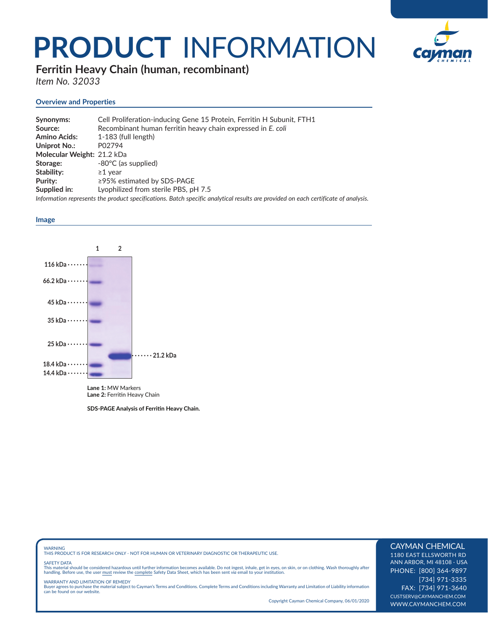## **PRODUCT** INFORMATION



**Ferritin Heavy Chain (human, recombinant)** 

*Item No. 32033*

### **Overview and Properties**

| Synonyms:                  | Cell Proliferation-inducing Gene 15 Protein, Ferritin H Subunit, FTH1                                                              |
|----------------------------|------------------------------------------------------------------------------------------------------------------------------------|
| Source:                    | Recombinant human ferritin heavy chain expressed in E. coli                                                                        |
| <b>Amino Acids:</b>        | $1-183$ (full length)                                                                                                              |
| Uniprot No.:               | P02794                                                                                                                             |
| Molecular Weight: 21.2 kDa |                                                                                                                                    |
| Storage:                   | -80°C (as supplied)                                                                                                                |
| Stability:                 | $\geq$ 1 vear                                                                                                                      |
| Purity:                    | $\ge$ 95% estimated by SDS-PAGE                                                                                                    |
| Supplied in:               | Lyophilized from sterile PBS, pH 7.5                                                                                               |
|                            | Information represents the product specifications. Batch specific analytical results are provided on each certificate of analysis. |

#### **Image**



**Lane 1:** MW Markers Lane 2: Ferritin Heavy Chain

**SDS-PAGE Analysis of Ferritin Heavy Chain.** 

WARNING THIS PRODUCT IS FOR RESEARCH ONLY - NOT FOR HUMAN OR VETERINARY DIAGNOSTIC OR THERAPEUTIC USE.

#### SAFETY DATA

This material should be considered hazardous until further information becomes available. Do not ingest, inhale, get in eyes, on skin, or on clothing. Wash thoroughly after<br>handling. Before use, the user must review the co

WARRANTY AND LIMITATION OF REMEDY<br>Buyer agrees to purchase the material subject to Cayman's Terms and Conditions. Complete Terms and Conditions including Warranty and Limitation of Liability information<br>can be found on our

Copyright Cayman Chemical Company, 06/01/2020

#### CAYMAN CHEMICAL

1180 EAST ELLSWORTH RD ANN ARBOR, MI 48108 · USA PHONE: [800] 364-9897 [734] 971-3335 FAX: [734] 971-3640 CUSTSERV@CAYMANCHEM.COM WWW.CAYMANCHEM.COM